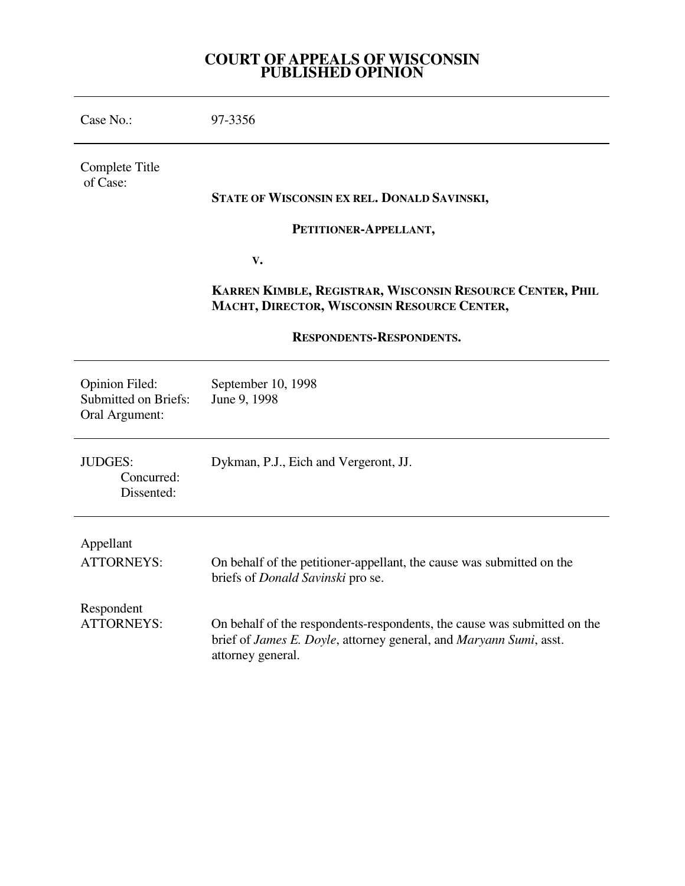## **COURT OF APPEALS OF WISCONSIN PUBLISHED OPINION**

| Case No.:                                                              | 97-3356                                                                                                                                                             |
|------------------------------------------------------------------------|---------------------------------------------------------------------------------------------------------------------------------------------------------------------|
| Complete Title<br>of Case:                                             |                                                                                                                                                                     |
|                                                                        | STATE OF WISCONSIN EX REL. DONALD SAVINSKI,                                                                                                                         |
|                                                                        | PETITIONER-APPELLANT,                                                                                                                                               |
|                                                                        | $\mathbf{V}$ .                                                                                                                                                      |
|                                                                        | KARREN KIMBLE, REGISTRAR, WISCONSIN RESOURCE CENTER, PHIL<br>MACHT, DIRECTOR, WISCONSIN RESOURCE CENTER,                                                            |
| RESPONDENTS-RESPONDENTS.                                               |                                                                                                                                                                     |
| <b>Opinion Filed:</b><br><b>Submitted on Briefs:</b><br>Oral Argument: | September 10, 1998<br>June 9, 1998                                                                                                                                  |
| <b>JUDGES:</b><br>Concurred:<br>Dissented:                             | Dykman, P.J., Eich and Vergeront, JJ.                                                                                                                               |
| Appellant                                                              |                                                                                                                                                                     |
| <b>ATTORNEYS:</b>                                                      | On behalf of the petitioner-appellant, the cause was submitted on the<br>briefs of <i>Donald Savinski</i> pro se.                                                   |
| Respondent<br><b>ATTORNEYS:</b>                                        | On behalf of the respondents-respondents, the cause was submitted on the<br>brief of James E. Doyle, attorney general, and Maryann Sumi, asst.<br>attorney general. |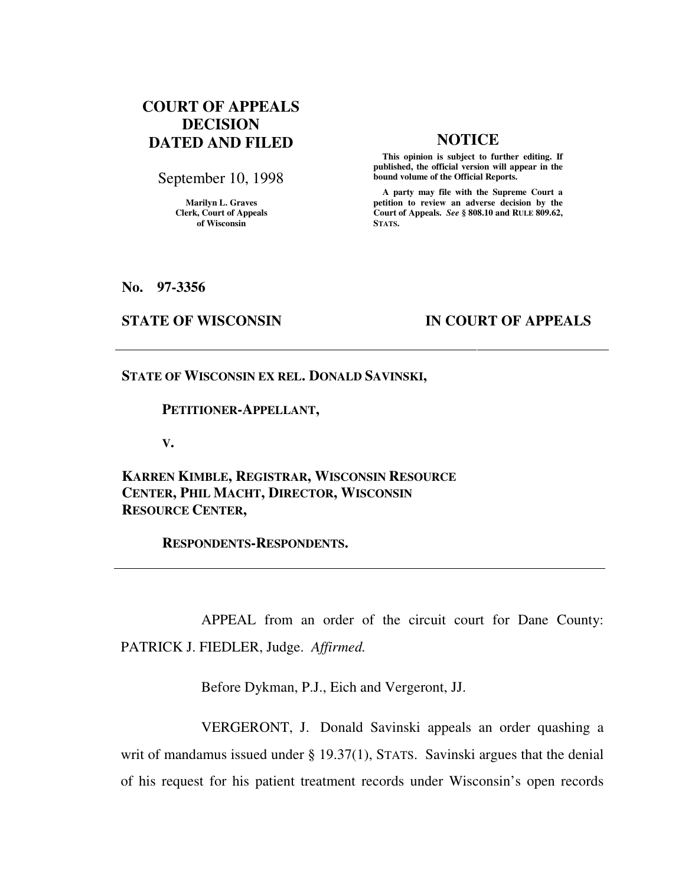# **COURT OF APPEALS DECISION DATED AND FILED NOTICE**

September 10, 1998

**Marilyn L. Graves Clerk, Court of Appeals of Wisconsin** 

 **This opinion is subject to further editing. If published, the official version will appear in the bound volume of the Official Reports.**

 **A party may file with the Supreme Court a petition to review an adverse decision by the Court of Appeals.** *See* **§ 808.10 and RULE 809.62, STATS.** 

**No. 97-3356** 

## **STATE OF WISCONSIN IN COURT OF APPEALS**

## **STATE OF WISCONSIN EX REL. DONALD SAVINSKI,**

### **PETITIONER-APPELLANT,**

**V.** 

**KARREN KIMBLE, REGISTRAR, WISCONSIN RESOURCE CENTER, PHIL MACHT, DIRECTOR, WISCONSIN RESOURCE CENTER,** 

 **RESPONDENTS-RESPONDENTS.** 

 APPEAL from an order of the circuit court for Dane County: PATRICK J. FIEDLER, Judge. *Affirmed.*

Before Dykman, P.J., Eich and Vergeront, JJ.

 VERGERONT, J. Donald Savinski appeals an order quashing a writ of mandamus issued under § 19.37(1), STATS. Savinski argues that the denial of his request for his patient treatment records under Wisconsin's open records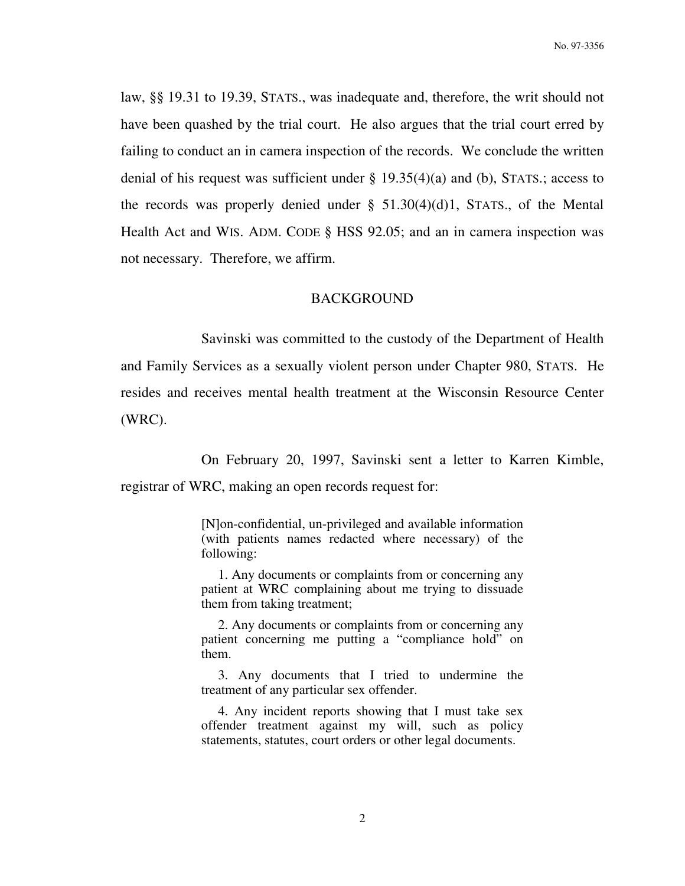law, §§ 19.31 to 19.39, STATS., was inadequate and, therefore, the writ should not have been quashed by the trial court. He also argues that the trial court erred by failing to conduct an in camera inspection of the records. We conclude the written denial of his request was sufficient under  $\S$  19.35(4)(a) and (b), STATS.; access to the records was properly denied under  $\S$  51.30(4)(d)1, STATS., of the Mental Health Act and WIS. ADM. CODE § HSS 92.05; and an in camera inspection was not necessary. Therefore, we affirm.

### BACKGROUND

 Savinski was committed to the custody of the Department of Health and Family Services as a sexually violent person under Chapter 980, STATS. He resides and receives mental health treatment at the Wisconsin Resource Center (WRC).

 On February 20, 1997, Savinski sent a letter to Karren Kimble, registrar of WRC, making an open records request for:

> [N]on-confidential, un-privileged and available information (with patients names redacted where necessary) of the following:

> 1. Any documents or complaints from or concerning any patient at WRC complaining about me trying to dissuade them from taking treatment;

> 2. Any documents or complaints from or concerning any patient concerning me putting a "compliance hold" on them.

> 3. Any documents that I tried to undermine the treatment of any particular sex offender.

> 4. Any incident reports showing that I must take sex offender treatment against my will, such as policy statements, statutes, court orders or other legal documents.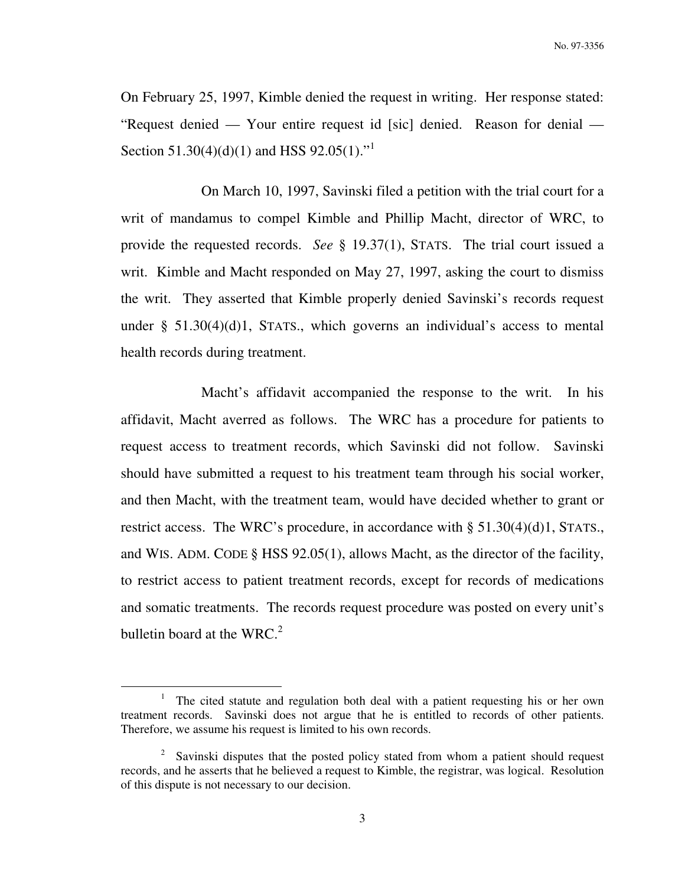On February 25, 1997, Kimble denied the request in writing. Her response stated: "Request denied — Your entire request id [sic] denied. Reason for denial — Section 51.30(4)(d)(1) and HSS 92.05(1)."

 On March 10, 1997, Savinski filed a petition with the trial court for a writ of mandamus to compel Kimble and Phillip Macht, director of WRC, to provide the requested records. *See* § 19.37(1), STATS. The trial court issued a writ. Kimble and Macht responded on May 27, 1997, asking the court to dismiss the writ. They asserted that Kimble properly denied Savinski's records request under  $\S$  51.30(4)(d)1, STATS., which governs an individual's access to mental health records during treatment.

 Macht's affidavit accompanied the response to the writ. In his affidavit, Macht averred as follows. The WRC has a procedure for patients to request access to treatment records, which Savinski did not follow. Savinski should have submitted a request to his treatment team through his social worker, and then Macht, with the treatment team, would have decided whether to grant or restrict access. The WRC's procedure, in accordance with § 51.30(4)(d)1, STATS., and WIS. ADM. CODE § HSS 92.05(1), allows Macht, as the director of the facility, to restrict access to patient treatment records, except for records of medications and somatic treatments. The records request procedure was posted on every unit's bulletin board at the WRC. $2$ 

 $\overline{a}$ 

<sup>&</sup>lt;sup>1</sup> The cited statute and regulation both deal with a patient requesting his or her own treatment records. Savinski does not argue that he is entitled to records of other patients. Therefore, we assume his request is limited to his own records.

<sup>&</sup>lt;sup>2</sup> Savinski disputes that the posted policy stated from whom a patient should request records, and he asserts that he believed a request to Kimble, the registrar, was logical. Resolution of this dispute is not necessary to our decision.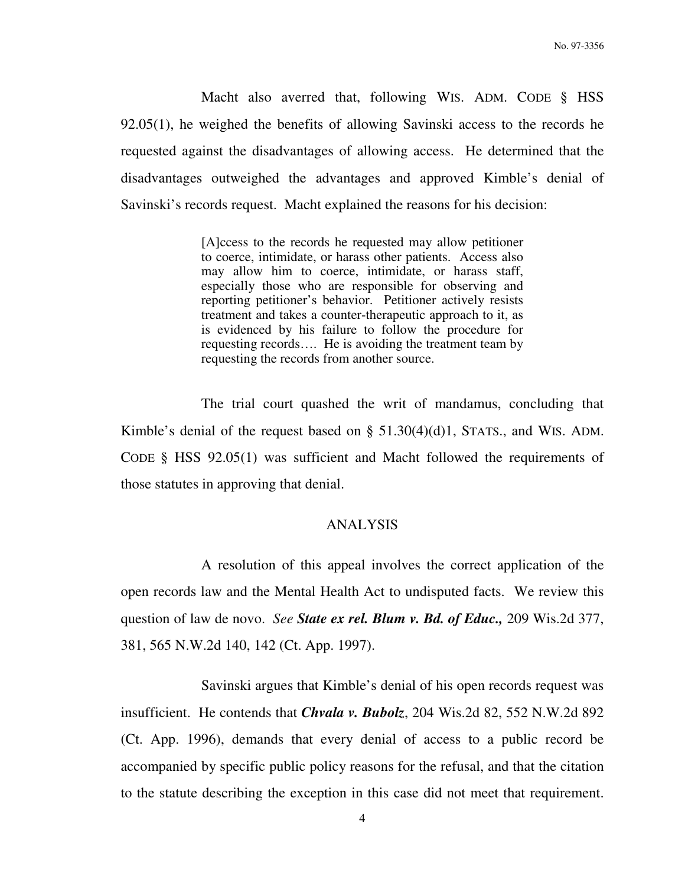Macht also averred that, following WIS. ADM. CODE § HSS 92.05(1), he weighed the benefits of allowing Savinski access to the records he requested against the disadvantages of allowing access. He determined that the disadvantages outweighed the advantages and approved Kimble's denial of Savinski's records request. Macht explained the reasons for his decision:

> [A]ccess to the records he requested may allow petitioner to coerce, intimidate, or harass other patients. Access also may allow him to coerce, intimidate, or harass staff, especially those who are responsible for observing and reporting petitioner's behavior. Petitioner actively resists treatment and takes a counter-therapeutic approach to it, as is evidenced by his failure to follow the procedure for requesting records…. He is avoiding the treatment team by requesting the records from another source.

 The trial court quashed the writ of mandamus, concluding that Kimble's denial of the request based on § 51.30(4)(d)1, STATS., and WIS. ADM. CODE § HSS 92.05(1) was sufficient and Macht followed the requirements of those statutes in approving that denial.

## ANALYSIS

 A resolution of this appeal involves the correct application of the open records law and the Mental Health Act to undisputed facts. We review this question of law de novo. *See State ex rel. Blum v. Bd. of Educ.,* 209 Wis.2d 377, 381, 565 N.W.2d 140, 142 (Ct. App. 1997).

 Savinski argues that Kimble's denial of his open records request was insufficient. He contends that *Chvala v. Bubolz*, 204 Wis.2d 82, 552 N.W.2d 892 (Ct. App. 1996), demands that every denial of access to a public record be accompanied by specific public policy reasons for the refusal, and that the citation to the statute describing the exception in this case did not meet that requirement.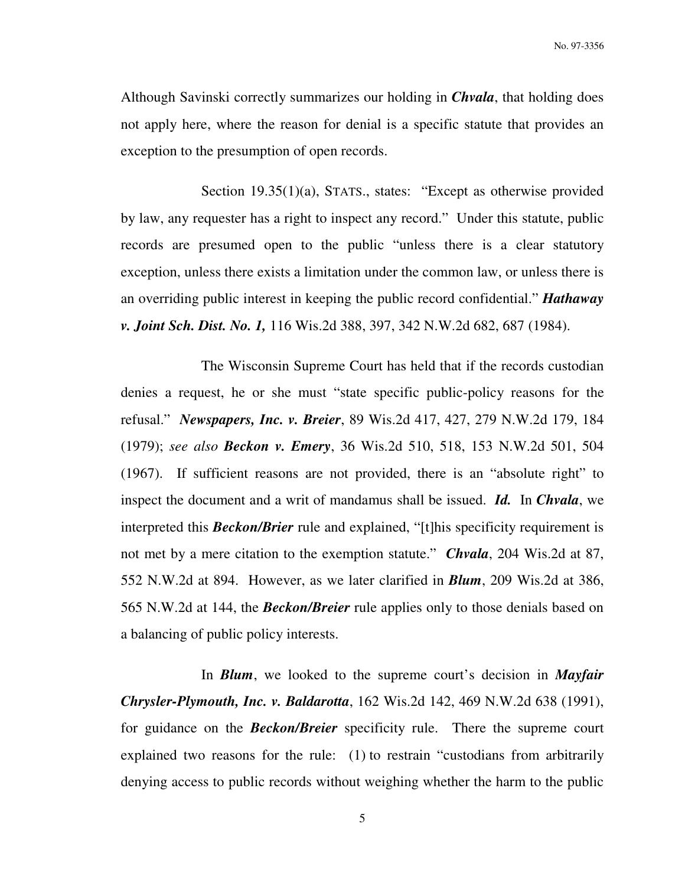Although Savinski correctly summarizes our holding in *Chvala*, that holding does not apply here, where the reason for denial is a specific statute that provides an exception to the presumption of open records.

Section 19.35(1)(a), STATS., states: "Except as otherwise provided by law, any requester has a right to inspect any record." Under this statute, public records are presumed open to the public "unless there is a clear statutory exception, unless there exists a limitation under the common law, or unless there is an overriding public interest in keeping the public record confidential." *Hathaway v. Joint Sch. Dist. No. 1,* 116 Wis.2d 388, 397, 342 N.W.2d 682, 687 (1984).

 The Wisconsin Supreme Court has held that if the records custodian denies a request, he or she must "state specific public-policy reasons for the refusal." *Newspapers, Inc. v. Breier*, 89 Wis.2d 417, 427, 279 N.W.2d 179, 184 (1979); *see also Beckon v. Emery*, 36 Wis.2d 510, 518, 153 N.W.2d 501, 504 (1967). If sufficient reasons are not provided, there is an "absolute right" to inspect the document and a writ of mandamus shall be issued. *Id.* In *Chvala*, we interpreted this *Beckon/Brier* rule and explained, "[t]his specificity requirement is not met by a mere citation to the exemption statute." *Chvala*, 204 Wis.2d at 87, 552 N.W.2d at 894. However, as we later clarified in *Blum*, 209 Wis.2d at 386, 565 N.W.2d at 144, the *Beckon/Breier* rule applies only to those denials based on a balancing of public policy interests.

 In *Blum*, we looked to the supreme court's decision in *Mayfair Chrysler-Plymouth, Inc. v. Baldarotta*, 162 Wis.2d 142, 469 N.W.2d 638 (1991), for guidance on the *Beckon/Breier* specificity rule. There the supreme court explained two reasons for the rule: (1) to restrain "custodians from arbitrarily denying access to public records without weighing whether the harm to the public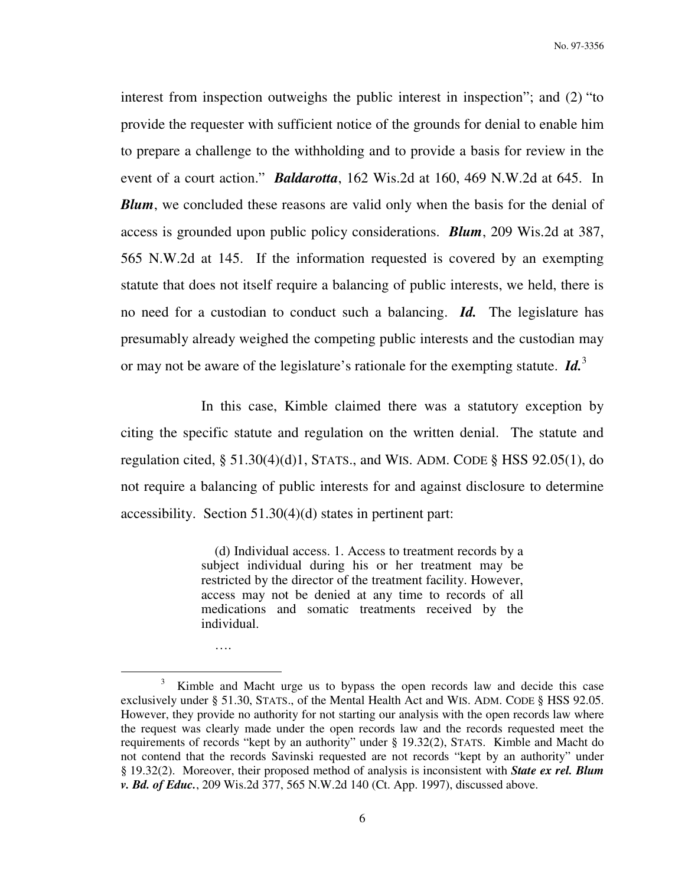interest from inspection outweighs the public interest in inspection"; and (2) "to provide the requester with sufficient notice of the grounds for denial to enable him to prepare a challenge to the withholding and to provide a basis for review in the event of a court action." *Baldarotta*, 162 Wis.2d at 160, 469 N.W.2d at 645. In *Blum*, we concluded these reasons are valid only when the basis for the denial of access is grounded upon public policy considerations. *Blum*, 209 Wis.2d at 387, 565 N.W.2d at 145. If the information requested is covered by an exempting statute that does not itself require a balancing of public interests, we held, there is no need for a custodian to conduct such a balancing. *Id.* The legislature has presumably already weighed the competing public interests and the custodian may or may not be aware of the legislature's rationale for the exempting statute. *Id.*<sup>3</sup>

 In this case, Kimble claimed there was a statutory exception by citing the specific statute and regulation on the written denial. The statute and regulation cited,  $\S 51.30(4)(d)1$ , STATS., and WIS. ADM. CODE  $\S$  HSS 92.05(1), do not require a balancing of public interests for and against disclosure to determine accessibility. Section 51.30(4)(d) states in pertinent part:

> (d) Individual access. 1. Access to treatment records by a subject individual during his or her treatment may be restricted by the director of the treatment facility. However, access may not be denied at any time to records of all medications and somatic treatments received by the individual.

….

 $\overline{a}$ 

<sup>3</sup> Kimble and Macht urge us to bypass the open records law and decide this case exclusively under § 51.30, STATS., of the Mental Health Act and WIS. ADM. CODE § HSS 92.05. However, they provide no authority for not starting our analysis with the open records law where the request was clearly made under the open records law and the records requested meet the requirements of records "kept by an authority" under § 19.32(2), STATS. Kimble and Macht do not contend that the records Savinski requested are not records "kept by an authority" under § 19.32(2). Moreover, their proposed method of analysis is inconsistent with *State ex rel. Blum v. Bd. of Educ.*, 209 Wis.2d 377, 565 N.W.2d 140 (Ct. App. 1997), discussed above.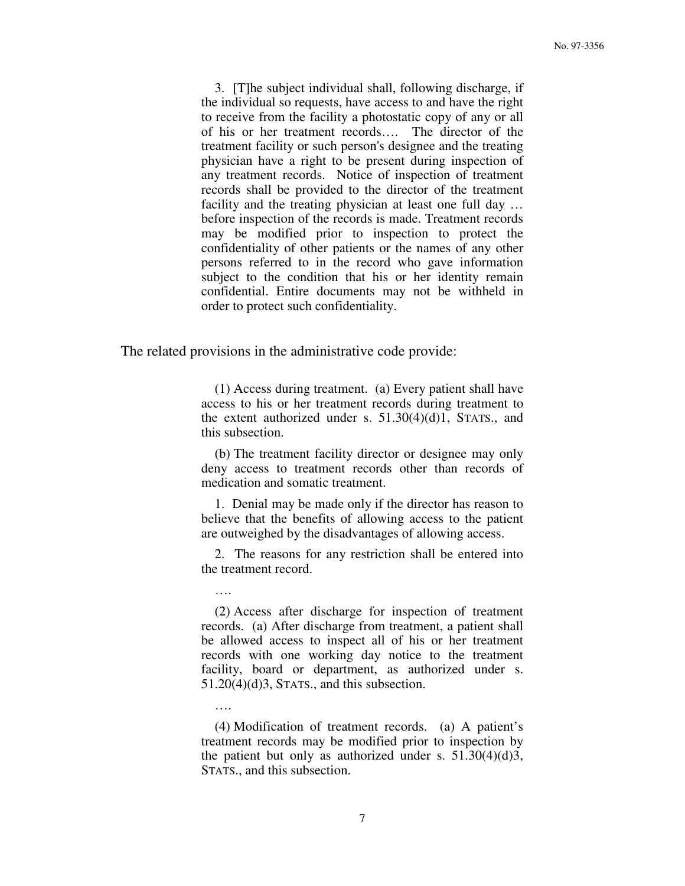3. [T]he subject individual shall, following discharge, if the individual so requests, have access to and have the right to receive from the facility a photostatic copy of any or all of his or her treatment records…. The director of the treatment facility or such person's designee and the treating physician have a right to be present during inspection of any treatment records. Notice of inspection of treatment records shall be provided to the director of the treatment facility and the treating physician at least one full day … before inspection of the records is made. Treatment records may be modified prior to inspection to protect the confidentiality of other patients or the names of any other persons referred to in the record who gave information subject to the condition that his or her identity remain confidential. Entire documents may not be withheld in order to protect such confidentiality.

The related provisions in the administrative code provide:

….

….

 (1) Access during treatment. (a) Every patient shall have access to his or her treatment records during treatment to the extent authorized under s.  $51.30(4)(d)1$ , STATS., and this subsection.

 (b) The treatment facility director or designee may only deny access to treatment records other than records of medication and somatic treatment.

 1. Denial may be made only if the director has reason to believe that the benefits of allowing access to the patient are outweighed by the disadvantages of allowing access.

 2. The reasons for any restriction shall be entered into the treatment record.

 (2) Access after discharge for inspection of treatment records. (a) After discharge from treatment, a patient shall be allowed access to inspect all of his or her treatment records with one working day notice to the treatment facility, board or department, as authorized under s. 51.20(4)(d)3, STATS., and this subsection.

 (4) Modification of treatment records. (a) A patient's treatment records may be modified prior to inspection by the patient but only as authorized under s.  $51.30(4)(d)3$ , STATS., and this subsection.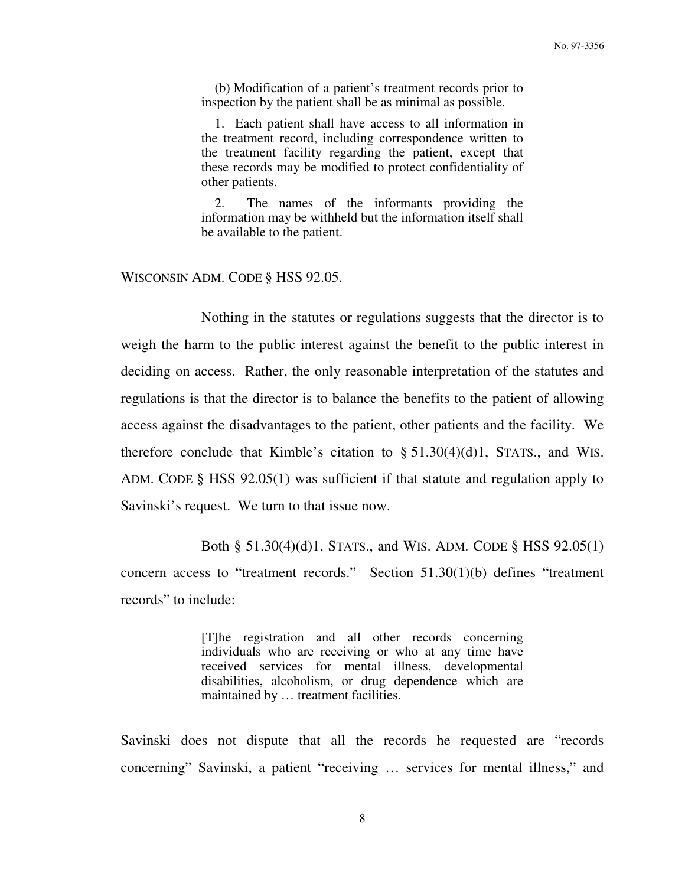(b) Modification of a patient's treatment records prior to inspection by the patient shall be as minimal as possible.

 1. Each patient shall have access to all information in the treatment record, including correspondence written to the treatment facility regarding the patient, except that these records may be modified to protect confidentiality of other patients.

 2. The names of the informants providing the information may be withheld but the information itself shall be available to the patient.

WISCONSIN ADM. CODE § HSS 92.05.

 Nothing in the statutes or regulations suggests that the director is to weigh the harm to the public interest against the benefit to the public interest in deciding on access. Rather, the only reasonable interpretation of the statutes and regulations is that the director is to balance the benefits to the patient of allowing access against the disadvantages to the patient, other patients and the facility. We therefore conclude that Kimble's citation to  $\S 51.30(4)(d)1$ , STATS., and WIS. ADM. CODE § HSS 92.05(1) was sufficient if that statute and regulation apply to Savinski's request. We turn to that issue now.

 Both § 51.30(4)(d)1, STATS., and WIS. ADM. CODE § HSS 92.05(1) concern access to "treatment records." Section 51.30(1)(b) defines "treatment records" to include:

> [T]he registration and all other records concerning individuals who are receiving or who at any time have received services for mental illness, developmental disabilities, alcoholism, or drug dependence which are maintained by … treatment facilities.

Savinski does not dispute that all the records he requested are "records concerning" Savinski, a patient "receiving … services for mental illness," and

8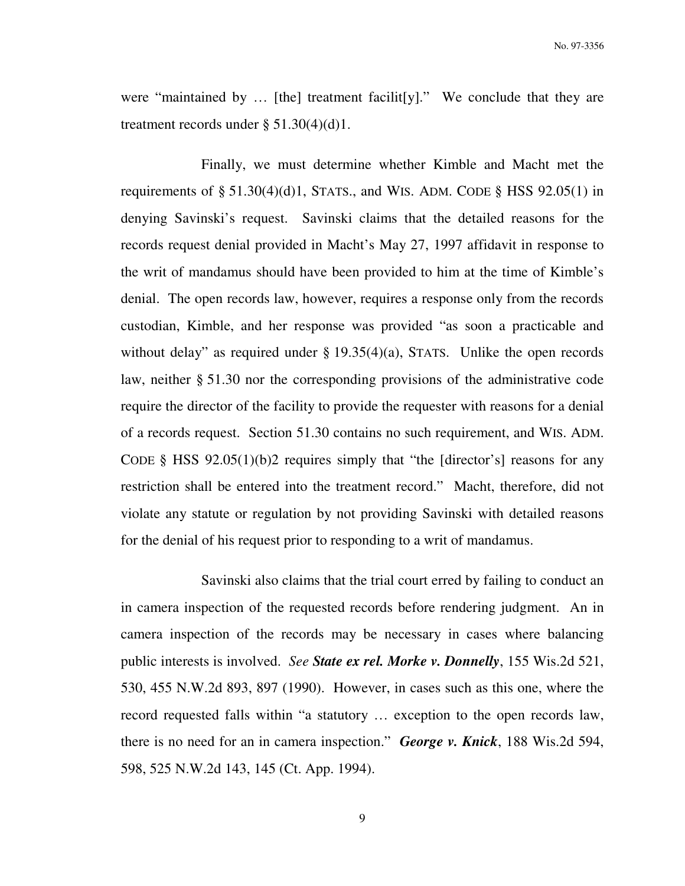were "maintained by … [the] treatment facilit[y]." We conclude that they are treatment records under  $\S$  51.30(4)(d)1.

 Finally, we must determine whether Kimble and Macht met the requirements of  $\S 51.30(4)(d)1$ , STATS., and WIS. ADM. CODE  $\S$  HSS 92.05(1) in denying Savinski's request. Savinski claims that the detailed reasons for the records request denial provided in Macht's May 27, 1997 affidavit in response to the writ of mandamus should have been provided to him at the time of Kimble's denial. The open records law, however, requires a response only from the records custodian, Kimble, and her response was provided "as soon a practicable and without delay" as required under  $\S$  19.35(4)(a), STATS. Unlike the open records law, neither § 51.30 nor the corresponding provisions of the administrative code require the director of the facility to provide the requester with reasons for a denial of a records request. Section 51.30 contains no such requirement, and WIS. ADM. CODE § HSS 92.05(1)(b)2 requires simply that "the [director's] reasons for any restriction shall be entered into the treatment record." Macht, therefore, did not violate any statute or regulation by not providing Savinski with detailed reasons for the denial of his request prior to responding to a writ of mandamus.

 Savinski also claims that the trial court erred by failing to conduct an in camera inspection of the requested records before rendering judgment. An in camera inspection of the records may be necessary in cases where balancing public interests is involved. *See State ex rel. Morke v. Donnelly*, 155 Wis.2d 521, 530, 455 N.W.2d 893, 897 (1990). However, in cases such as this one, where the record requested falls within "a statutory … exception to the open records law, there is no need for an in camera inspection." *George v. Knick*, 188 Wis.2d 594, 598, 525 N.W.2d 143, 145 (Ct. App. 1994).